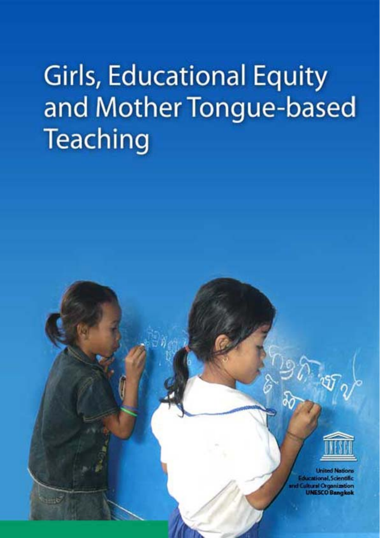# **Girls, Educational Equity** and Mother Tongue-based **Teaching**

 $-16$ 



**Linited Nations** cacional, Scientific ultural Organization **UNESCO Bangkok**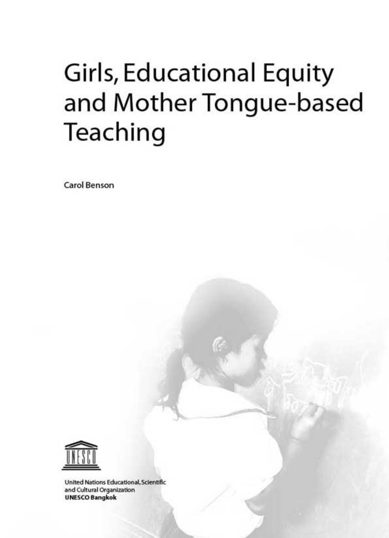## **Girls, Educational Equity** and Mother Tongue-based Teaching

**Carol Benson** 



United Nations Educational, Scientific and Cultural Organization **UNESCO Bangkok**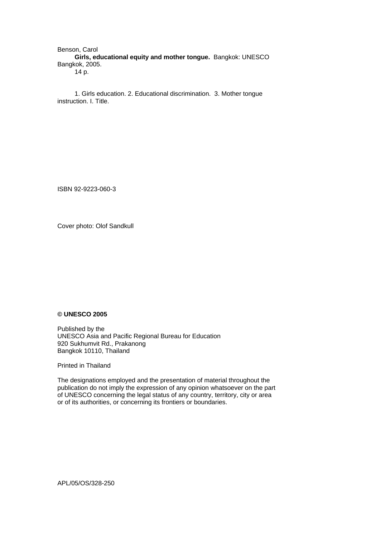Benson, Carol **Girls, educational equity and mother tongue.** Bangkok: UNESCO Bangkok, 2005. 14 p.

1. Girls education. 2. Educational discrimination. 3. Mother tongue instruction. I. Title.

ISBN 92-9223-060-3

Cover photo: Olof Sandkull

#### **© UNESCO 2005**

Published by the UNESCO Asia and Pacific Regional Bureau for Education 920 Sukhumvit Rd., Prakanong Bangkok 10110, Thailand

Printed in Thailand

The designations employed and the presentation of material throughout the publication do not imply the expression of any opinion whatsoever on the part of UNESCO concerning the legal status of any country, territory, city or area or of its authorities, or concerning its frontiers or boundaries.

APL/05/OS/328-250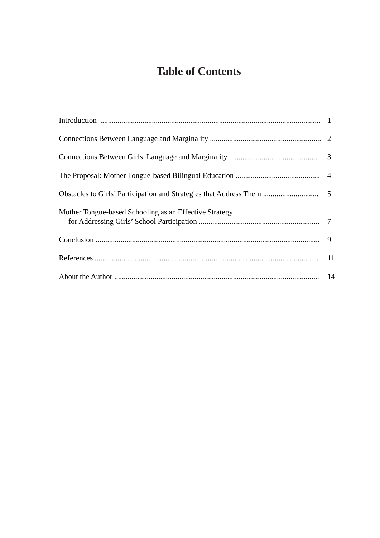## **Table of Contents**

| Mother Tongue-based Schooling as an Effective Strategy |  |
|--------------------------------------------------------|--|
|                                                        |  |
|                                                        |  |
|                                                        |  |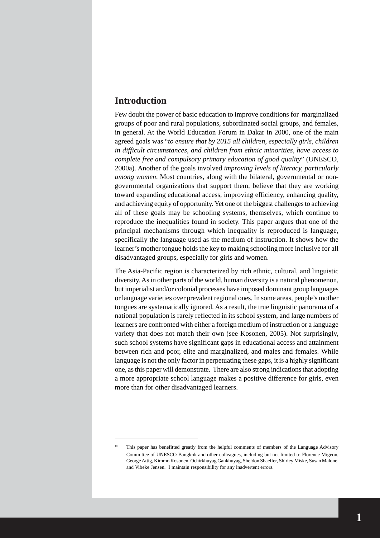#### **Introduction**

Few doubt the power of basic education to improve conditions for marginalized groups of poor and rural populations, subordinated social groups, and females, in general. At the World Education Forum in Dakar in 2000, one of the main agreed goals was "*to ensure that by 2015 all children, especially girls, children in difficult circumstances, and children from ethnic minorities, have access to complete free and compulsory primary education of good quality*" (UNESCO, 2000a). Another of the goals involved *improving levels of literacy, particularly among women*. Most countries, along with the bilateral, governmental or nongovernmental organizations that support them, believe that they are working toward expanding educational access, improving efficiency, enhancing quality, and achieving equity of opportunity. Yet one of the biggest challenges to achieving all of these goals may be schooling systems, themselves, which continue to reproduce the inequalities found in society. This paper argues that one of the principal mechanisms through which inequality is reproduced is language, specifically the language used as the medium of instruction. It shows how the learner's mother tongue holds the key to making schooling more inclusive for all disadvantaged groups, especially for girls and women.

The Asia-Pacific region is characterized by rich ethnic, cultural, and linguistic diversity. As in other parts of the world, human diversity is a natural phenomenon, but imperialist and/or colonial processes have imposed dominant group languages or language varieties over prevalent regional ones. In some areas, people's mother tongues are systematically ignored. As a result, the true linguistic panorama of a national population is rarely reflected in its school system, and large numbers of learners are confronted with either a foreign medium of instruction or a language variety that does not match their own (see Kosonen, 2005). Not surprisingly, such school systems have significant gaps in educational access and attainment between rich and poor, elite and marginalized, and males and females. While language is not the only factor in perpetuating these gaps, it is a highly significant one, as this paper will demonstrate. There are also strong indications that adopting a more appropriate school language makes a positive difference for girls, even more than for other disadvantaged learners.

This paper has benefitted greatly from the helpful comments of members of the Language Advisory Committee of UNESCO Bangkok and other colleagues, including but not limited to Florence Migeon, George Attig, Kimmo Kosonen, Ochirkhuyag Gankhuyag, Sheldon Shaeffer, Shirley Miske, Susan Malone, and Vibeke Jensen. I maintain responsibility for any inadvertent errors.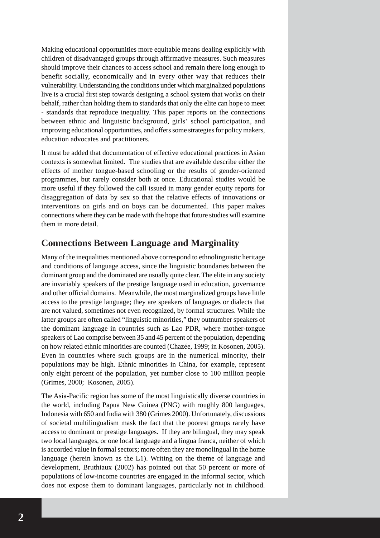Making educational opportunities more equitable means dealing explicitly with children of disadvantaged groups through affirmative measures. Such measures should improve their chances to access school and remain there long enough to benefit socially, economically and in every other way that reduces their vulnerability. Understanding the conditions under which marginalized populations live is a crucial first step towards designing a school system that works on their behalf, rather than holding them to standards that only the elite can hope to meet - standards that reproduce inequality. This paper reports on the connections between ethnic and linguistic background, girls' school participation, and improving educational opportunities, and offers some strategies for policy makers, education advocates and practitioners.

It must be added that documentation of effective educational practices in Asian contexts is somewhat limited. The studies that are available describe either the effects of mother tongue-based schooling or the results of gender-oriented programmes, but rarely consider both at once. Educational studies would be more useful if they followed the call issued in many gender equity reports for disaggregation of data by sex so that the relative effects of innovations or interventions on girls and on boys can be documented. This paper makes connections where they can be made with the hope that future studies will examine them in more detail.

### **Connections Between Language and Marginality**

Many of the inequalities mentioned above correspond to ethnolinguistic heritage and conditions of language access, since the linguistic boundaries between the dominant group and the dominated are usually quite clear. The elite in any society are invariably speakers of the prestige language used in education, governance and other official domains. Meanwhile, the most marginalized groups have little access to the prestige language; they are speakers of languages or dialects that are not valued, sometimes not even recognized, by formal structures. While the latter groups are often called "linguistic minorities," they outnumber speakers of the dominant language in countries such as Lao PDR, where mother-tongue speakers of Lao comprise between 35 and 45 percent of the population, depending on how related ethnic minorities are counted (Chazée, 1999; in Kosonen, 2005). Even in countries where such groups are in the numerical minority, their populations may be high. Ethnic minorities in China, for example, represent only eight percent of the population, yet number close to 100 million people (Grimes, 2000; Kosonen, 2005).

The Asia-Pacific region has some of the most linguistically diverse countries in the world, including Papua New Guinea (PNG) with roughly 800 languages, Indonesia with 650 and India with 380 (Grimes 2000). Unfortunately, discussions of societal multilingualism mask the fact that the poorest groups rarely have access to dominant or prestige languages. If they are bilingual, they may speak two local languages, or one local language and a lingua franca, neither of which is accorded value in formal sectors; more often they are monolingual in the home language (herein known as the L1). Writing on the theme of language and development, Bruthiaux (2002) has pointed out that 50 percent or more of populations of low-income countries are engaged in the informal sector, which does not expose them to dominant languages, particularly not in childhood.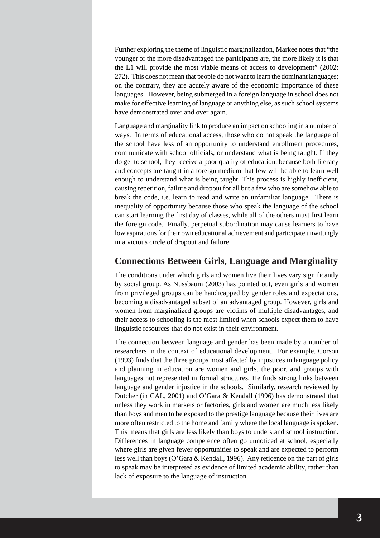Further exploring the theme of linguistic marginalization, Markee notes that "the younger or the more disadvantaged the participants are, the more likely it is that the L1 will provide the most viable means of access to development" (2002: 272). This does not mean that people do not want to learn the dominant languages; on the contrary, they are acutely aware of the economic importance of these languages. However, being submerged in a foreign language in school does not make for effective learning of language or anything else, as such school systems have demonstrated over and over again.

Language and marginality link to produce an impact on schooling in a number of ways. In terms of educational access, those who do not speak the language of the school have less of an opportunity to understand enrollment procedures, communicate with school officials, or understand what is being taught. If they do get to school, they receive a poor quality of education, because both literacy and concepts are taught in a foreign medium that few will be able to learn well enough to understand what is being taught. This process is highly inefficient, causing repetition, failure and dropout for all but a few who are somehow able to break the code, i.e. learn to read and write an unfamiliar language. There is inequality of opportunity because those who speak the language of the school can start learning the first day of classes, while all of the others must first learn the foreign code. Finally, perpetual subordination may cause learners to have low aspirations for their own educational achievement and participate unwittingly in a vicious circle of dropout and failure.

#### **Connections Between Girls, Language and Marginality**

The conditions under which girls and women live their lives vary significantly by social group. As Nussbaum (2003) has pointed out, even girls and women from privileged groups can be handicapped by gender roles and expectations, becoming a disadvantaged subset of an advantaged group. However, girls and women from marginalized groups are victims of multiple disadvantages, and their access to schooling is the most limited when schools expect them to have linguistic resources that do not exist in their environment.

The connection between language and gender has been made by a number of researchers in the context of educational development. For example, Corson (1993) finds that the three groups most affected by injustices in language policy and planning in education are women and girls, the poor, and groups with languages not represented in formal structures. He finds strong links between language and gender injustice in the schools. Similarly, research reviewed by Dutcher (in CAL, 2001) and O'Gara & Kendall (1996) has demonstrated that unless they work in markets or factories, girls and women are much less likely than boys and men to be exposed to the prestige language because their lives are more often restricted to the home and family where the local language is spoken. This means that girls are less likely than boys to understand school instruction. Differences in language competence often go unnoticed at school, especially where girls are given fewer opportunities to speak and are expected to perform less well than boys (O'Gara & Kendall, 1996). Any reticence on the part of girls to speak may be interpreted as evidence of limited academic ability, rather than lack of exposure to the language of instruction.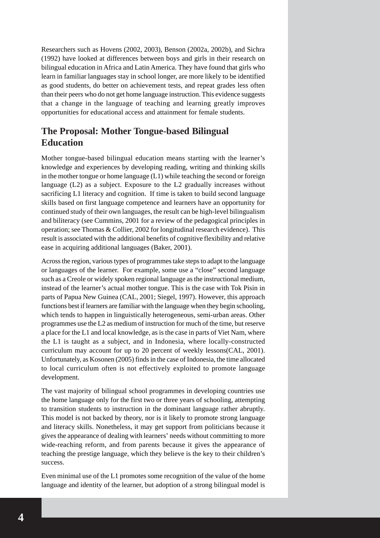Researchers such as Hovens (2002, 2003), Benson (2002a, 2002b), and Sichra (1992) have looked at differences between boys and girls in their research on bilingual education in Africa and Latin America. They have found that girls who learn in familiar languages stay in school longer, are more likely to be identified as good students, do better on achievement tests, and repeat grades less often than their peers who do not get home language instruction. This evidence suggests that a change in the language of teaching and learning greatly improves opportunities for educational access and attainment for female students.

## **The Proposal: Mother Tongue-based Bilingual Education**

Mother tongue-based bilingual education means starting with the learner's knowledge and experiences by developing reading, writing and thinking skills in the mother tongue or home language (L1) while teaching the second or foreign language (L2) as a subject. Exposure to the L2 gradually increases without sacrificing L1 literacy and cognition. If time is taken to build second language skills based on first language competence and learners have an opportunity for continued study of their own languages, the result can be high-level bilingualism and biliteracy (see Cummins, 2001 for a review of the pedagogical principles in operation; see Thomas & Collier, 2002 for longitudinal research evidence). This result is associated with the additional benefits of cognitive flexibility and relative ease in acquiring additional languages (Baker, 2001).

Across the region, various types of programmes take steps to adapt to the language or languages of the learner. For example, some use a "close" second language such as a Creole or widely spoken regional language as the instructional medium, instead of the learner's actual mother tongue. This is the case with Tok Pisin in parts of Papua New Guinea (CAL, 2001; Siegel, 1997). However, this approach functions best if learners are familiar with the language when they begin schooling, which tends to happen in linguistically heterogeneous, semi-urban areas. Other programmes use the L2 as medium of instruction for much of the time, but reserve a place for the L1 and local knowledge, as is the case in parts of Viet Nam, where the L1 is taught as a subject, and in Indonesia, where locally-constructed curriculum may account for up to 20 percent of weekly lessons(CAL, 2001). Unfortunately, as Kosonen (2005) finds in the case of Indonesia, the time allocated to local curriculum often is not effectively exploited to promote language development.

The vast majority of bilingual school programmes in developing countries use the home language only for the first two or three years of schooling, attempting to transition students to instruction in the dominant language rather abruptly. This model is not backed by theory, nor is it likely to promote strong language and literacy skills. Nonetheless, it may get support from politicians because it gives the appearance of dealing with learners' needs without committing to more wide-reaching reform, and from parents because it gives the appearance of teaching the prestige language, which they believe is the key to their children's success.

Even minimal use of the L1 promotes some recognition of the value of the home language and identity of the learner, but adoption of a strong bilingual model is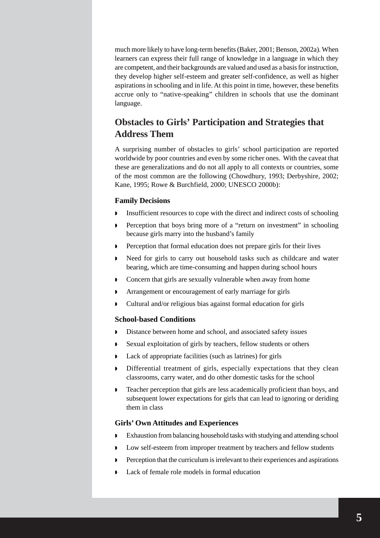much more likely to have long-term benefits (Baker, 2001; Benson, 2002a). When learners can express their full range of knowledge in a language in which they are competent, and their backgrounds are valued and used as a basis for instruction, they develop higher self-esteem and greater self-confidence, as well as higher aspirations in schooling and in life. At this point in time, however, these benefits accrue only to "native-speaking" children in schools that use the dominant language.

## **Obstacles to Girls' Participation and Strategies that Address Them**

A surprising number of obstacles to girls' school participation are reported worldwide by poor countries and even by some richer ones. With the caveat that these are generalizations and do not all apply to all contexts or countries, some of the most common are the following (Chowdhury, 1993; Derbyshire, 2002; Kane, 1995; Rowe & Burchfield, 2000; UNESCO 2000b):

#### **Family Decisions**

- Insufficient resources to cope with the direct and indirect costs of schooling
- Perception that boys bring more of a "return on investment" in schooling because girls marry into the husband's family
- Perception that formal education does not prepare girls for their lives
- Need for girls to carry out household tasks such as childcare and water bearing, which are time-consuming and happen during school hours
- Concern that girls are sexually vulnerable when away from home
- Arrangement or encouragement of early marriage for girls
- Cultural and/or religious bias against formal education for girls

#### **School-based Conditions**

- Distance between home and school, and associated safety issues
- Sexual exploitation of girls by teachers, fellow students or others
- Lack of appropriate facilities (such as latrines) for girls
- Differential treatment of girls, especially expectations that they clean classrooms, carry water, and do other domestic tasks for the school
- **Teacher perception that girls are less academically proficient than boys, and** subsequent lower expectations for girls that can lead to ignoring or deriding them in class

#### **Girls' Own Attitudes and Experiences**

- Exhaustion from balancing household tasks with studying and attending school
- Low self-esteem from improper treatment by teachers and fellow students
- Perception that the curriculum is irrelevant to their experiences and aspirations
- Lack of female role models in formal education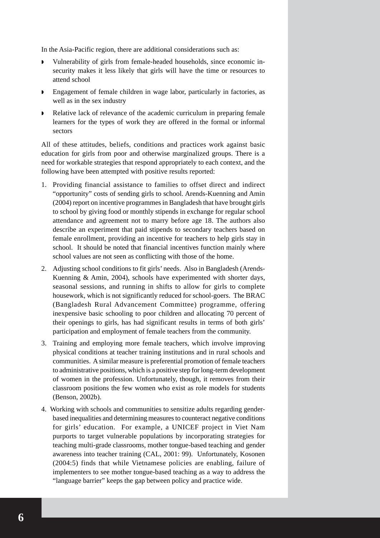In the Asia-Pacific region, there are additional considerations such as:

- Vulnerability of girls from female-headed households, since economic insecurity makes it less likely that girls will have the time or resources to attend school
- Engagement of female children in wage labor, particularly in factories, as well as in the sex industry
- Relative lack of relevance of the academic curriculum in preparing female learners for the types of work they are offered in the formal or informal sectors

All of these attitudes, beliefs, conditions and practices work against basic education for girls from poor and otherwise marginalized groups. There is a need for workable strategies that respond appropriately to each context, and the following have been attempted with positive results reported:

- 1. Providing financial assistance to families to offset direct and indirect "opportunity" costs of sending girls to school. Arends-Kuenning and Amin (2004) report on incentive programmes in Bangladesh that have brought girls to school by giving food or monthly stipends in exchange for regular school attendance and agreement not to marry before age 18. The authors also describe an experiment that paid stipends to secondary teachers based on female enrollment, providing an incentive for teachers to help girls stay in school. It should be noted that financial incentives function mainly where school values are not seen as conflicting with those of the home.
- 2. Adjusting school conditions to fit girls' needs. Also in Bangladesh (Arends-Kuenning & Amin, 2004), schools have experimented with shorter days, seasonal sessions, and running in shifts to allow for girls to complete housework, which is not significantly reduced for school-goers. The BRAC (Bangladesh Rural Advancement Committee) programme, offering inexpensive basic schooling to poor children and allocating 70 percent of their openings to girls, has had significant results in terms of both girls' participation and employment of female teachers from the community.
- 3. Training and employing more female teachers, which involve improving physical conditions at teacher training institutions and in rural schools and communities. A similar measure is preferential promotion of female teachers to administrative positions, which is a positive step for long-term development of women in the profession. Unfortunately, though, it removes from their classroom positions the few women who exist as role models for students (Benson, 2002b).
- 4. Working with schools and communities to sensitize adults regarding genderbased inequalities and determining measures to counteract negative conditions for girls' education. For example, a UNICEF project in Viet Nam purports to target vulnerable populations by incorporating strategies for teaching multi-grade classrooms, mother tongue-based teaching and gender awareness into teacher training (CAL, 2001: 99). Unfortunately, Kosonen (2004:5) finds that while Vietnamese policies are enabling, failure of implementers to see mother tongue-based teaching as a way to address the "language barrier" keeps the gap between policy and practice wide.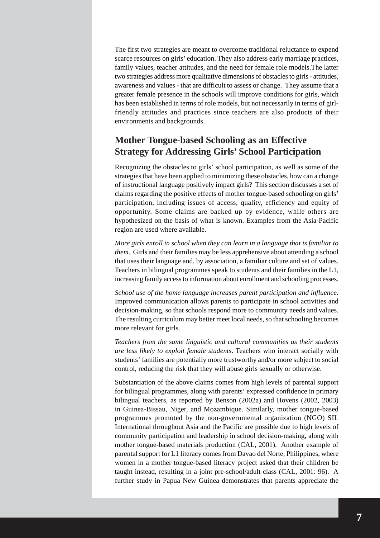The first two strategies are meant to overcome traditional reluctance to expend scarce resources on girls' education. They also address early marriage practices, family values, teacher attitudes, and the need for female role models.The latter two strategies address more qualitative dimensions of obstacles to girls - attitudes, awareness and values - that are difficult to assess or change. They assume that a greater female presence in the schools will improve conditions for girls, which has been established in terms of role models, but not necessarily in terms of girlfriendly attitudes and practices since teachers are also products of their environments and backgrounds.

## **Mother Tongue-based Schooling as an Effective Strategy for Addressing Girls' School Participation**

Recognizing the obstacles to girls' school participation, as well as some of the strategies that have been applied to minimizing these obstacles, how can a change of instructional language positively impact girls? This section discusses a set of claims regarding the positive effects of mother tongue-based schooling on girls' participation, including issues of access, quality, efficiency and equity of opportunity. Some claims are backed up by evidence, while others are hypothesized on the basis of what is known. Examples from the Asia-Pacific region are used where available.

*More girls enroll in school when they can learn in a language that is familiar to them*. Girls and their families may be less apprehensive about attending a school that uses their language and, by association, a familiar culture and set of values. Teachers in bilingual programmes speak to students and their families in the L1, increasing family access to information about enrollment and schooling processes.

*School use of the home language increases parent participation and influence*. Improved communication allows parents to participate in school activities and decision-making, so that schools respond more to community needs and values. The resulting curriculum may better meet local needs, so that schooling becomes more relevant for girls.

*Teachers from the same linguistic and cultural communities as their students are less likely to exploit female students*. Teachers who interact socially with students' families are potentially more trustworthy and/or more subject to social control, reducing the risk that they will abuse girls sexually or otherwise.

Substantiation of the above claims comes from high levels of parental support for bilingual programmes, along with parents' expressed confidence in primary bilingual teachers, as reported by Benson (2002a) and Hovens (2002, 2003) in Guinea-Bissau, Niger, and Mozambique. Similarly, mother tongue-based programmes promoted by the non-governmental organization (NGO) SIL International throughout Asia and the Pacific are possible due to high levels of community participation and leadership in school decision-making, along with mother tongue-based materials production (CAL, 2001). Another example of parental support for L1 literacy comes from Davao del Norte, Philippines, where women in a mother tongue-based literacy project asked that their children be taught instead, resulting in a joint pre-school/adult class (CAL, 2001: 96). A further study in Papua New Guinea demonstrates that parents appreciate the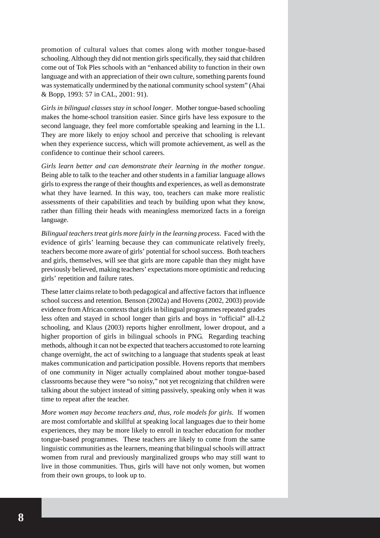promotion of cultural values that comes along with mother tongue-based schooling. Although they did not mention girls specifically, they said that children come out of Tok Ples schools with an "enhanced ability to function in their own language and with an appreciation of their own culture, something parents found was systematically undermined by the national community school system" (Ahai & Bopp, 1993: 57 in CAL, 2001: 91).

*Girls in bilingual classes stay in school longer*. Mother tongue-based schooling makes the home-school transition easier. Since girls have less exposure to the second language, they feel more comfortable speaking and learning in the L1. They are more likely to enjoy school and perceive that schooling is relevant when they experience success, which will promote achievement, as well as the confidence to continue their school careers.

*Girls learn better and can demonstrate their learning in the mother tongue*. Being able to talk to the teacher and other students in a familiar language allows girls to express the range of their thoughts and experiences, as well as demonstrate what they have learned. In this way, too, teachers can make more realistic assessments of their capabilities and teach by building upon what they know, rather than filling their heads with meaningless memorized facts in a foreign language.

*Bilingual teachers treat girls more fairly in the learning process*. Faced with the evidence of girls' learning because they can communicate relatively freely, teachers become more aware of girls' potential for school success. Both teachers and girls, themselves, will see that girls are more capable than they might have previously believed, making teachers' expectations more optimistic and reducing girls' repetition and failure rates.

These latter claims relate to both pedagogical and affective factors that influence school success and retention. Benson (2002a) and Hovens (2002, 2003) provide evidence from African contexts that girls in bilingual programmes repeated grades less often and stayed in school longer than girls and boys in "official" all-L2 schooling, and Klaus (2003) reports higher enrollment, lower dropout, and a higher proportion of girls in bilingual schools in PNG. Regarding teaching methods, although it can not be expected that teachers accustomed to rote learning change overnight, the act of switching to a language that students speak at least makes communication and participation possible. Hovens reports that members of one community in Niger actually complained about mother tongue-based classrooms because they were "so noisy," not yet recognizing that children were talking about the subject instead of sitting passively, speaking only when it was time to repeat after the teacher.

*More women may become teachers and, thus, role models for girls*. If women are most comfortable and skillful at speaking local languages due to their home experiences, they may be more likely to enroll in teacher education for mother tongue-based programmes. These teachers are likely to come from the same linguistic communities as the learners, meaning that bilingual schools will attract women from rural and previously marginalized groups who may still want to live in those communities. Thus, girls will have not only women, but women from their own groups, to look up to.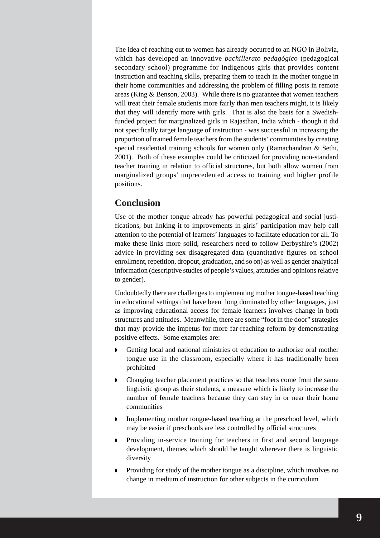The idea of reaching out to women has already occurred to an NGO in Bolivia, which has developed an innovative *bachillerato pedagógico* (pedagogical secondary school) programme for indigenous girls that provides content instruction and teaching skills, preparing them to teach in the mother tongue in their home communities and addressing the problem of filling posts in remote areas (King & Benson, 2003). While there is no guarantee that women teachers will treat their female students more fairly than men teachers might, it is likely that they will identify more with girls. That is also the basis for a Swedishfunded project for marginalized girls in Rajasthan, India which - though it did not specifically target language of instruction - was successful in increasing the proportion of trained female teachers from the students' communities by creating special residential training schools for women only (Ramachandran & Sethi, 2001). Both of these examples could be criticized for providing non-standard teacher training in relation to official structures, but both allow women from marginalized groups' unprecedented access to training and higher profile positions.

### **Conclusion**

Use of the mother tongue already has powerful pedagogical and social justifications, but linking it to improvements in girls' participation may help call attention to the potential of learners' languages to facilitate education for all. To make these links more solid, researchers need to follow Derbyshire's (2002) advice in providing sex disaggregated data (quantitative figures on school enrollment, repetition, dropout, graduation, and so on) as well as gender analytical information (descriptive studies of people's values, attitudes and opinions relative to gender).

Undoubtedly there are challenges to implementing mother tongue-based teaching in educational settings that have been long dominated by other languages, just as improving educational access for female learners involves change in both structures and attitudes. Meanwhile, there are some "foot in the door" strategies that may provide the impetus for more far-reaching reform by demonstrating positive effects. Some examples are:

- Getting local and national ministries of education to authorize oral mother tongue use in the classroom, especially where it has traditionally been prohibited
- Changing teacher placement practices so that teachers come from the same linguistic group as their students, a measure which is likely to increase the number of female teachers because they can stay in or near their home communities
- Implementing mother tongue-based teaching at the preschool level, which may be easier if preschools are less controlled by official structures
- Providing in-service training for teachers in first and second language development, themes which should be taught wherever there is linguistic diversity
- **Providing for study of the mother tongue as a discipline, which involves no** change in medium of instruction for other subjects in the curriculum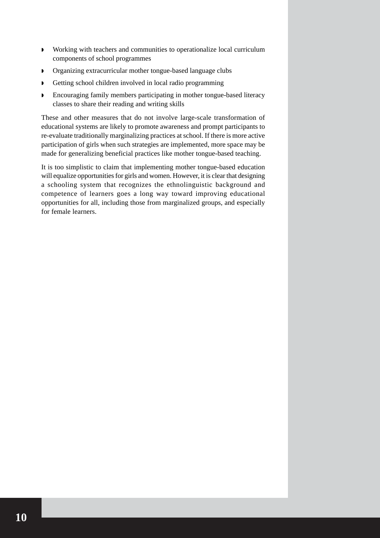- Working with teachers and communities to operationalize local curriculum components of school programmes
- **Organizing extracurricular mother tongue-based language clubs**
- Getting school children involved in local radio programming
- Encouraging family members participating in mother tongue-based literacy classes to share their reading and writing skills

These and other measures that do not involve large-scale transformation of educational systems are likely to promote awareness and prompt participants to re-evaluate traditionally marginalizing practices at school. If there is more active participation of girls when such strategies are implemented, more space may be made for generalizing beneficial practices like mother tongue-based teaching.

It is too simplistic to claim that implementing mother tongue-based education will equalize opportunities for girls and women. However, it is clear that designing a schooling system that recognizes the ethnolinguistic background and competence of learners goes a long way toward improving educational opportunities for all, including those from marginalized groups, and especially for female learners.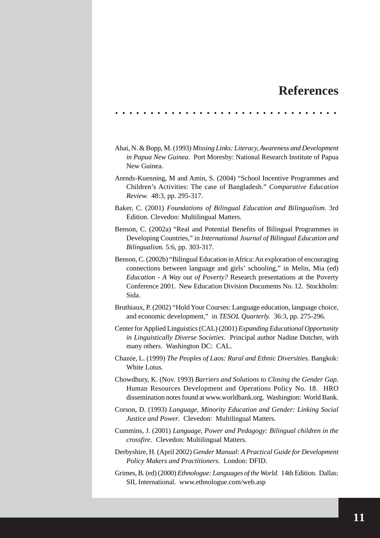## **References**

. . . . . . . . . . . . . . . . . . . . . . . . . . . . . . . .

- Ahai, N. & Bopp, M. (1993) *Missing Links: Literacy, Awareness and Development in Papua New Guinea*. Port Moresby: National Research Institute of Papua New Guinea.
- Arends-Kuenning, M and Amin, S. (2004) "School Incentive Programmes and Children's Activities: The case of Bangladesh." *Comparative Education Review.* 48:3, pp. 295-317.
- Baker, C. (2001) *Foundations of Bilingual Education and Bilingualism.* 3rd Edition. Clevedon: Multilingual Matters.
- Benson, C. (2002a) "Real and Potential Benefits of Bilingual Programmes in Developing Countries," in *International Journal of Bilingual Education and Bilingualism.* 5:6, pp. 303-317.
- Benson, C. (2002b) "Bilingual Education in Africa: An exploration of encouraging connections between language and girls' schooling," in Melin, Mia (ed) *Education - A Way out of Poverty?* Research presentations at the Poverty Conference 2001. New Education Division Documents No. 12. Stockholm: Sida.
- Bruthiaux, P. (2002) "Hold Your Courses: Language education, language choice, and economic development," in *TESOL Quarterly.* 36:3, pp. 275-296.
- Center for Applied Linguistics (CAL) (2001) *Expanding Educational Opportunity in Linguistically Diverse Societies*. Principal author Nadine Dutcher, with many others. Washington DC: CAL.
- Chazée, L. (1999) *The Peoples of Laos: Rural and Ethnic Diversities*. Bangkok: White Lotus.
- Chowdhury, K. (Nov. 1993) *Barriers and Solutions to Closing the Gender Gap.* Human Resources Development and Operations Policy No. 18. HRO dissemination notes found at www.worldbank.org. Washington: World Bank.
- Corson, D. (1993) *Language, Minority Education and Gender: Linking Social Justice and Power*. Clevedon: Multilingual Matters.
- Cummins, J. (2001) *Language, Power and Pedagogy: Bilingual children in the crossfire*. Clevedon: Multilingual Matters.
- Derbyshire, H. (April 2002) *Gender Manual: A Practical Guide for Development Policy Makers and Practitioners.* London: DFID.
- Grimes, B. (ed) (2000) *Ethnologue: Languages of the World.* 14th Edition. Dallas: SIL International. www.ethnologue.com/web.asp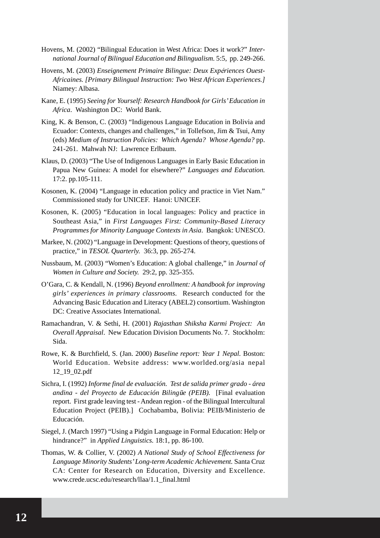- Hovens, M. (2002) "Bilingual Education in West Africa: Does it work?" *International Journal of Bilingual Education and Bilingualism.* 5:5, pp. 249-266.
- Hovens, M. (2003) *Enseignement Primaire Bilingue: Deux Expériences Ouest-Africaines. [Primary Bilingual Instruction: Two West African Experiences.]* Niamey: Albasa.
- Kane, E. (1995) *Seeing for Yourself: Research Handbook for Girls' Education in Africa*. Washington DC: World Bank.
- King, K. & Benson, C. (2003) "Indigenous Language Education in Bolivia and Ecuador: Contexts, changes and challenges," in Tollefson, Jim & Tsui, Amy (eds) *Medium of Instruction Policies: Which Agenda? Whose Agenda?* pp. 241-261. Mahwah NJ: Lawrence Erlbaum.
- Klaus, D. (2003) "The Use of Indigenous Languages in Early Basic Education in Papua New Guinea: A model for elsewhere?" *Languages and Education.* 17:2. pp.105-111.
- Kosonen, K. (2004) "Language in education policy and practice in Viet Nam." Commissioned study for UNICEF. Hanoi: UNICEF.
- Kosonen, K. (2005) "Education in local languages: Policy and practice in Southeast Asia," in *First Languages First: Community-Based Literacy Programmes for Minority Language Contexts in Asia*. Bangkok: UNESCO.
- Markee, N. (2002) "Language in Development: Questions of theory, questions of practice," in *TESOL Quarterly.* 36:3, pp. 265-274.
- Nussbaum, M. (2003) "Women's Education: A global challenge," in *Journal of Women in Culture and Society.* 29:2, pp. 325-355.
- O'Gara, C. & Kendall, N. (1996) *Beyond enrollment: A handbook for improving girls' experiences in primary classrooms.* Research conducted for the Advancing Basic Education and Literacy (ABEL2) consortium. Washington DC: Creative Associates International.
- Ramachandran, V. & Sethi, H. (2001) *Rajasthan Shiksha Karmi Project: An Overall Appraisal*. New Education Division Documents No. 7. Stockholm: Sida.
- Rowe, K. & Burchfield, S. (Jan. 2000) *Baseline report: Year 1 Nepal.* Boston: World Education. Website address: www.worlded.org/asia nepal 12\_19\_02.pdf
- Sichra, I. (1992) *Informe final de evaluación. Test de salida primer grado área andina - del Proyecto de Educación Biling*h*e (PEIB).* [Final evaluation report. First grade leaving test - Andean region - of the Bilingual Intercultural Education Project (PEIB).] Cochabamba, Bolivia: PEIB/Ministerio de Educación.
- Siegel, J. (March 1997) "Using a Pidgin Language in Formal Education: Help or hindrance?" in *Applied Linguistics*. 18:1, pp. 86-100.
- Thomas, W. & Collier, V. (2002) *A National Study of School Effectiveness for Language Minority Students' Long-term Academic Achievement.* Santa Cruz CA: Center for Research on Education, Diversity and Excellence. www.crede.ucsc.edu/research/llaa/1.1\_final.html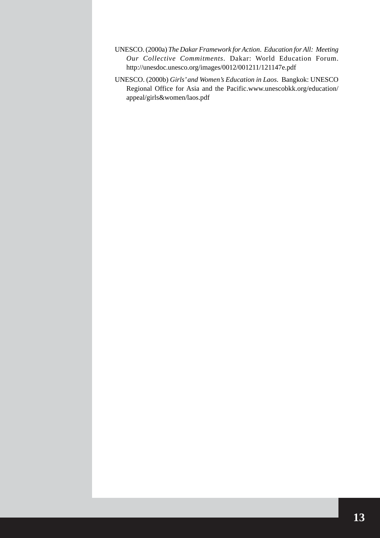- UNESCO. (2000a) *The Dakar Framework for Action*. *Education for All: Meeting Our Collective Commitments.* Dakar: World Education Forum. http://unesdoc.unesco.org/images/0012/001211/121147e.pdf
- UNESCO. (2000b) *Girls' and Women's Education in Laos*. Bangkok: UNESCO Regional Office for Asia and the Pacific.www.unescobkk.org/education/ appeal/girls&women/laos.pdf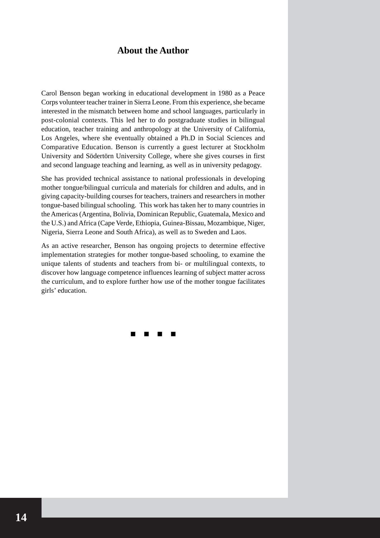#### **About the Author**

Carol Benson began working in educational development in 1980 as a Peace Corps volunteer teacher trainer in Sierra Leone. From this experience, she became interested in the mismatch between home and school languages, particularly in post-colonial contexts. This led her to do postgraduate studies in bilingual education, teacher training and anthropology at the University of California, Los Angeles, where she eventually obtained a Ph.D in Social Sciences and Comparative Education. Benson is currently a guest lecturer at Stockholm University and Södertörn University College, where she gives courses in first and second language teaching and learning, as well as in university pedagogy.

She has provided technical assistance to national professionals in developing mother tongue/bilingual curricula and materials for children and adults, and in giving capacity-building courses for teachers, trainers and researchers in mother tongue-based bilingual schooling. This work has taken her to many countries in the Americas (Argentina, Bolivia, Dominican Republic, Guatemala, Mexico and the U.S.) and Africa (Cape Verde, Ethiopia, Guinea-Bissau, Mozambique, Niger, Nigeria, Sierra Leone and South Africa), as well as to Sweden and Laos.

As an active researcher, Benson has ongoing projects to determine effective implementation strategies for mother tongue-based schooling, to examine the unique talents of students and teachers from bi- or multilingual contexts, to discover how language competence influences learning of subject matter across the curriculum, and to explore further how use of the mother tongue facilitates girls' education.